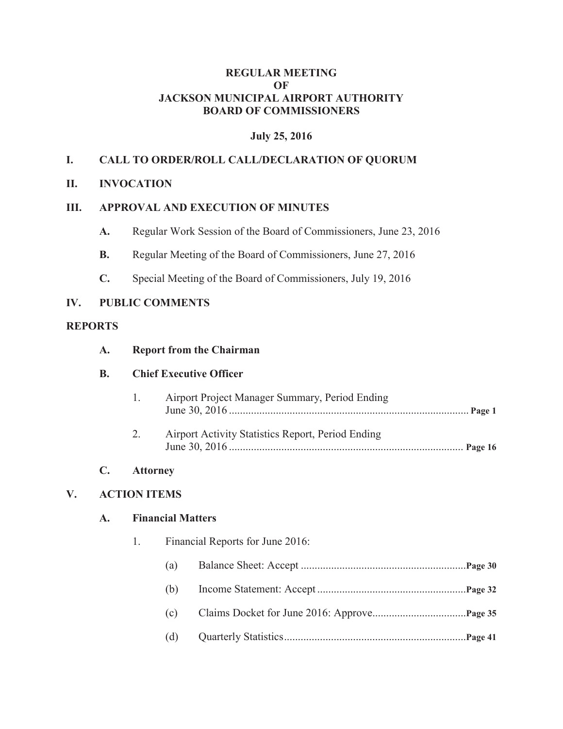#### **REGULAR MEETING OF JACKSON MUNICIPAL AIRPORT AUTHORITY BOARD OF COMMISSIONERS**

## **July 25, 2016**

## **I. CALL TO ORDER/ROLL CALL/DECLARATION OF QUORUM**

### **II. INVOCATION**

### **III. APPROVAL AND EXECUTION OF MINUTES**

- **A.** Regular Work Session of the Board of Commissioners, June 23, 2016
- **B.** Regular Meeting of the Board of Commissioners, June 27, 2016
- **C.** Special Meeting of the Board of Commissioners, July 19, 2016

### **IV. PUBLIC COMMENTS**

### **REPORTS**

| A. | <b>Report from the Chairman</b> |  |
|----|---------------------------------|--|
|    |                                 |  |

#### **B. Chief Executive Officer**

| $\pm$ | Airport Project Manager Summary, Period Ending    |  |
|-------|---------------------------------------------------|--|
| 2.    | Airport Activity Statistics Report, Period Ending |  |

#### **C. Attorney**

## **V. ACTION ITEMS**

#### **A. Financial Matters**

- 1. Financial Reports for June 2016:
	- (a) Balance Sheet: Accept ............................................................**Page 30**
	- (b) Income Statement: Accept ......................................................**Page 32**
	- (c) Claims Docket for June 2016: Approve..................................**Page 35**
	- (d) Quarterly Statistics ..................................................................**Page 41**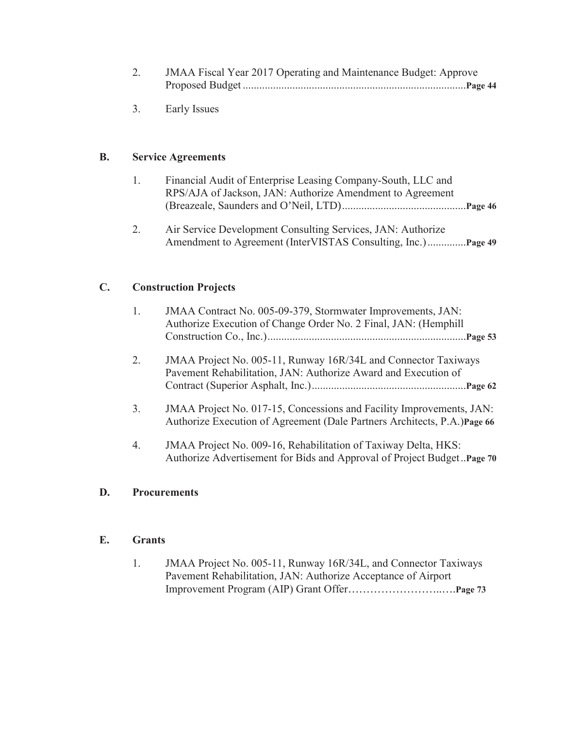| 2. | JMAA Fiscal Year 2017 Operating and Maintenance Budget: Approve |
|----|-----------------------------------------------------------------|
|    |                                                                 |

3. Early Issues

## **B. Service Agreements**

| Financial Audit of Enterprise Leasing Company-South, LLC and |  |
|--------------------------------------------------------------|--|
| RPS/AJA of Jackson, JAN: Authorize Amendment to Agreement    |  |
|                                                              |  |

2. Air Service Development Consulting Services, JAN: Authorize Amendment to Agreement (InterVISTAS Consulting, Inc.) ..............**Page 49**

## **C. Construction Projects**

| 1. | JMAA Contract No. 005-09-379, Stormwater Improvements, JAN:<br>Authorize Execution of Change Order No. 2 Final, JAN: (Hemphill                   |
|----|--------------------------------------------------------------------------------------------------------------------------------------------------|
| 2. | JMAA Project No. 005-11, Runway 16R/34L and Connector Taxiways<br>Pavement Rehabilitation, JAN: Authorize Award and Execution of                 |
| 3. | JMAA Project No. 017-15, Concessions and Facility Improvements, JAN:<br>Authorize Execution of Agreement (Dale Partners Architects, P.A.)Page 66 |
| 4. | JMAA Project No. 009-16, Rehabilitation of Taxiway Delta, HKS:<br>Authorize Advertisement for Bids and Approval of Project Budget. Page 70       |

## **D. Procurements**

## **E. Grants**

1. JMAA Project No. 005-11, Runway 16R/34L, and Connector Taxiways Pavement Rehabilitation, JAN: Authorize Acceptance of Airport Improvement Program (AIP) Grant Offer……………………..….**Page 73**